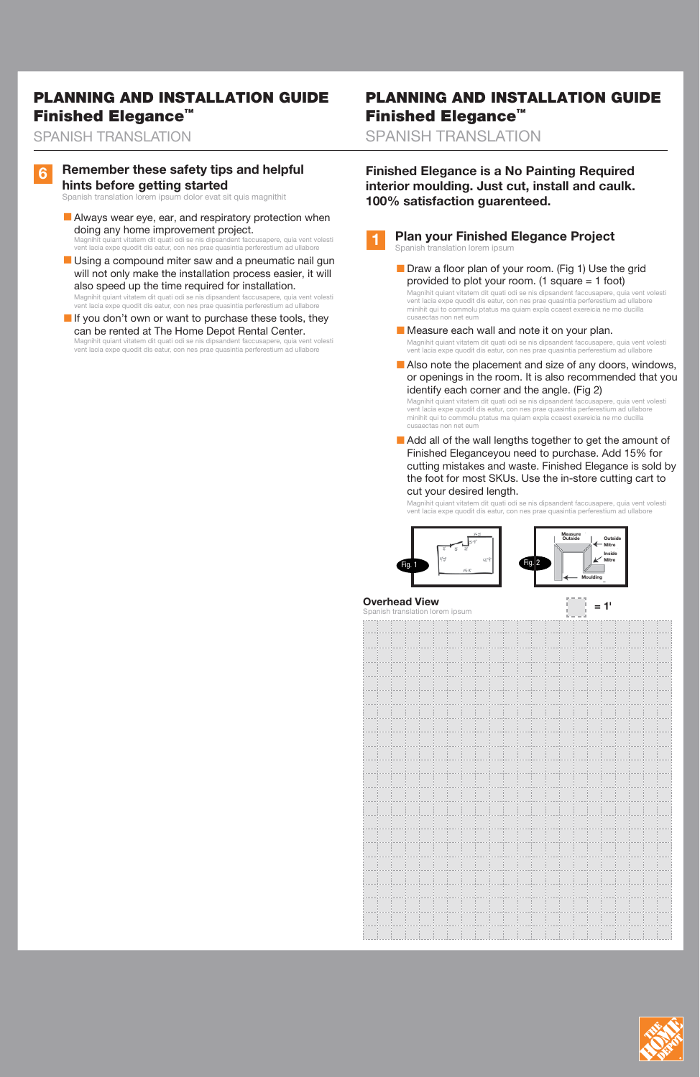### **1 Plan your Finished Elegance Project**

Spanish translation lorem ipsum

■ Draw a floor plan of your room. (Fig 1) Use the grid provided to plot your room. (1 square  $= 1$  foot) Magnihit quiant vitatem dit quati odi se nis dipsandent faccusapere, quia vent volesti

vent lacia expe quodit dis eatur, con nes prae quasintia perferestium ad ullabore minihit qui to commolu ptatus ma quiam expla ccaest exereicia ne mo ducilla cusaectas non net eum

- Measure each wall and note it on your plan. Magnihit quiant vitatem dit quati odi se nis dipsandent faccusapere, quia vent volesti vent lacia expe quodit dis eatur, con nes prae quasintia perferestium ad ullabore
- Also note the placement and size of any doors, windows, or openings in the room. It is also recommended that you identify each corner and the angle. (Fig 2)

■ Add all of the wall lengths together to get the amount of Finished Eleganceyou need to purchase. Add 15% for cutting mistakes and waste. Finished Elegance is sold by the foot for most SKUs. Use the in-store cutting cart to cut your desired length.

| Outside | Outside<br><b>Mitre</b> |
|---------|-------------------------|
|         | Inside                  |
|         | <b>Mitre</b>            |
|         | Moulding                |
|         |                         |



Magnihit quiant vitatem dit quati odi se nis dipsandent faccusapere, quia vent volesti vent lacia expe quodit dis eatur, con nes prae quasintia perferestium ad ullabore minihit qui to commolu ptatus ma quiam expla ccaest exereicia ne mo ducilla cusaectas non net eum

■ Always wear eye, ear, and respiratory protection when doing any home improvement project. Magnihit quiant vitatem dit quati odi se nis dipsandent faccusapere, quia vent volesti

■ Using a compound miter saw and a pneumatic nail gun will not only make the installation process easier, it will also speed up the time required for installation.

> Magnihit quiant vitatem dit quati odi se nis dipsandent faccusapere, quia vent volesti vent lacia expe quodit dis eatur, con nes prae quasintia perferestium ad ullabore

| Spanish translation lorem ipsum |  |  |  |  |  |  |  |  |  |  |  |  |  |  |  |  |  |  |  |  |
|---------------------------------|--|--|--|--|--|--|--|--|--|--|--|--|--|--|--|--|--|--|--|--|
|                                 |  |  |  |  |  |  |  |  |  |  |  |  |  |  |  |  |  |  |  |  |
|                                 |  |  |  |  |  |  |  |  |  |  |  |  |  |  |  |  |  |  |  |  |
|                                 |  |  |  |  |  |  |  |  |  |  |  |  |  |  |  |  |  |  |  |  |
|                                 |  |  |  |  |  |  |  |  |  |  |  |  |  |  |  |  |  |  |  |  |
|                                 |  |  |  |  |  |  |  |  |  |  |  |  |  |  |  |  |  |  |  |  |
|                                 |  |  |  |  |  |  |  |  |  |  |  |  |  |  |  |  |  |  |  |  |
|                                 |  |  |  |  |  |  |  |  |  |  |  |  |  |  |  |  |  |  |  |  |
|                                 |  |  |  |  |  |  |  |  |  |  |  |  |  |  |  |  |  |  |  |  |
|                                 |  |  |  |  |  |  |  |  |  |  |  |  |  |  |  |  |  |  |  |  |
|                                 |  |  |  |  |  |  |  |  |  |  |  |  |  |  |  |  |  |  |  |  |
|                                 |  |  |  |  |  |  |  |  |  |  |  |  |  |  |  |  |  |  |  |  |
|                                 |  |  |  |  |  |  |  |  |  |  |  |  |  |  |  |  |  |  |  |  |

|  | <b>In the case</b> |  | <b>COLLANS</b> |        | <b>STATISTICS</b> |  |              |              |                          |                                   | <b>COLLANS</b> |  |  |  |
|--|--------------------|--|----------------|--------|-------------------|--|--------------|--------------|--------------------------|-----------------------------------|----------------|--|--|--|
|  |                    |  | <b>I</b>       |        | - 11              |  |              |              |                          |                                   |                |  |  |  |
|  |                    |  |                |        |                   |  |              |              |                          |                                   |                |  |  |  |
|  |                    |  | <b>STATE</b>   | $\sim$ | <b>STATE</b>      |  |              | $\mathbf{1}$ |                          | <b>Contract Contract Contract</b> |                |  |  |  |
|  |                    |  |                |        |                   |  |              |              |                          |                                   |                |  |  |  |
|  | <b>A</b>           |  | . .            | . .    | <b>COLLA</b>      |  | <b>COLLA</b> |              | <b>Contract Contract</b> | <b>COLLA</b>                      |                |  |  |  |
|  |                    |  |                |        |                   |  |              |              |                          |                                   |                |  |  |  |
|  |                    |  |                |        |                   |  |              |              |                          |                                   |                |  |  |  |
|  |                    |  |                |        |                   |  |              |              |                          |                                   |                |  |  |  |



. . . . . . .

. . . . . .

4. . . . .

**Finished Elegance is a No Painting Required interior moulding. Just cut, install and caulk. 100% satisfaction guarenteed.**

# PLANNING AND INSTALLATION GUIDE Finished Elegance™

SPANISH TRANSLATION

### **6 Remember these safety tips and helpful hints before getting started**

Spanish translation lorem ipsum dolor evat sit quis magnithit

vent lacia expe quodit dis eatur, con nes prae quasintia perferestium ad ullabore

Magnihit quiant vitatem dit quati odi se nis dipsandent faccusapere, quia vent volesti vent lacia expe quodit dis eatur, con nes prae quasintia perferestium ad ullabore

Magnihit quiant vitatem dit quati odi se nis dipsandent faccusapere, quia vent volesti vent lacia expe quodit dis eatur, con nes prae quasintia perferestium ad ullabore If you don't own or want to purchase these tools, they can be rented at The Home Depot Rental Center.

# PLANNING AND INSTALLATION GUIDE Finished Elegance™

SPANISH TRANSLATION